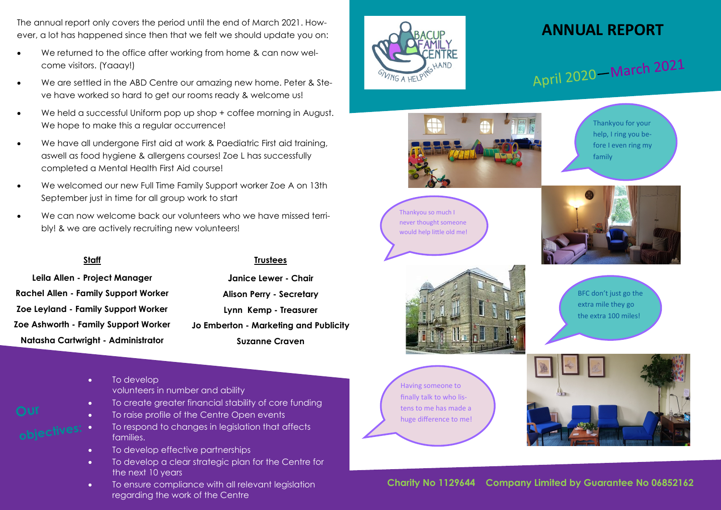The annual report only covers the period until the end of March 2021. However, a lot has happened since then that we felt we should update you on:

- We returned to the office after working from home & can now welcome visitors. (Yaaay!)
- We are settled in the ABD Centre our amazing new home. Peter & Steve have worked so hard to get our rooms ready & welcome us!
- We held a successful Uniform pop up shop + coffee morning in August. We hope to make this a regular occurrence!
- We have all undergone First aid at work & Paediatric First aid training, aswell as food hygiene & allergens courses! Zoe L has successfully completed a Mental Health First Aid course!
- We welcomed our new Full Time Family Support worker Zoe A on 13th September just in time for all group work to start
- We can now welcome back our volunteers who we have missed terribly! & we are actively recruiting new volunteers!

#### **Staff**

**Leila Allen - Project Manager Rachel Allen - Family Support Worker Zoe Leyland - Family Support Worker Zoe Ashworth - Family Support Worker Natasha Cartwright - Administrator**

### **Trustees**

**Janice Lewer - Chair Alison Perry - Secretary Lynn Kemp - Treasurer Jo Emberton - Marketing and Publicity Suzanne Craven**

- To develop volunteers in number and ability
- To create greater financial stability of core funding
- To raise profile of the Centre Open events
- To respond to changes in legislation that affects families.
- To develop effective partnerships
- To develop a clear strategic plan for the Centre for the next 10 years
- To ensure compliance with all relevant legislation regarding the work of the Centre



### **ANNUAL REPORT**

April 2020 – March 2021



Thankyou for your help, I ring you before I even ring my family







BFC don't just go the extra mile they go the extra 100 miles!

Having someone to finally talk to who listens to me has made a huge difference to me!



### **Charity No 1129644 Company Limited by Guarantee No 06852162**